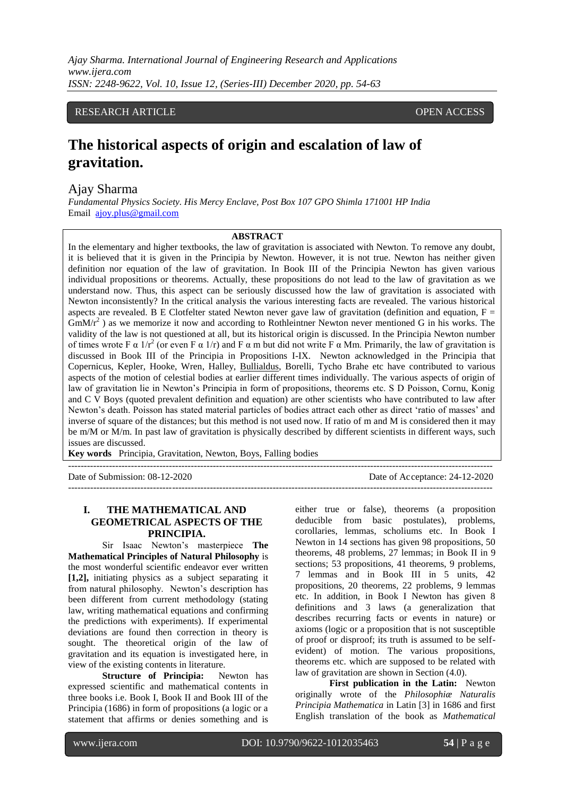### RESEARCH ARTICLE **CONTRACT ARTICLE** AND A SERVICE OPEN ACCESS

# **The historical aspects of origin and escalation of law of gravitation.**

### Ajay Sharma

*Fundamental Physics Society. His Mercy Enclave, Post Box 107 GPO Shimla 171001 HP India* Email [ajoy.plus@gmail.com](mailto:ajoy.plus@gmail.com)

#### **ABSTRACT**

In the elementary and higher textbooks, the law of gravitation is associated with Newton. To remove any doubt, it is believed that it is given in the Principia by Newton. However, it is not true. Newton has neither given definition nor equation of the law of gravitation. In Book III of the Principia Newton has given various individual propositions or theorems. Actually, these propositions do not lead to the law of gravitation as we understand now. Thus, this aspect can be seriously discussed how the law of gravitation is associated with Newton inconsistently? In the critical analysis the various interesting facts are revealed. The various historical aspects are revealed. B E Clotfelter stated Newton never gave law of gravitation (definition and equation,  $F =$  $GmMr<sup>2</sup>$ ) as we memorize it now and according to Rothleintner Newton never mentioned G in his works. The validity of the law is not questioned at all, but its historical origin is discussed. In the Principia Newton number of times wrote F  $\alpha$  1/r<sup>2</sup> (or even F  $\alpha$  1/r) and F  $\alpha$  m but did not write F  $\alpha$  Mm. Primarily, the law of gravitation is discussed in Book III of the Principia in Propositions I-IX. Newton acknowledged in the Principia that Copernicus, Kepler, Hooke, Wren, Halley, [Bullialdus,](https://en.wikipedia.org/wiki/Isma%C3%ABl_Bullialdus) Borelli, Tycho Brahe etc have contributed to various aspects of the motion of celestial bodies at earlier different times individually. The various aspects of origin of law of gravitation lie in Newton's Principia in form of propositions, theorems etc. S D Poisson, Cornu, Konig and  $C \overline{V}$  Boys (quoted prevalent definition and equation) are other scientists who have contributed to law after Newton's death. Poisson has stated material particles of bodies attract each other as direct ‗ratio of masses' and inverse of square of the distances; but this method is not used now. If ratio of m and M is considered then it may be m/M or M/m. In past law of gravitation is physically described by different scientists in different ways, such issues are discussed.

---------------------------------------------------------------------------------------------------------------------------------------

**Key words** Principia, Gravitation, Newton, Boys, Falling bodies

Date of Submission: 08-12-2020 Date of Acceptance: 24-12-2020

### **I. THE MATHEMATICAL AND GEOMETRICAL ASPECTS OF THE PRINCIPIA.**

 $-1\leq i\leq n-1$ 

Sir Isaac Newton's masterpiece **The Mathematical Principles of Natural Philosophy** is the most wonderful scientific endeavor ever written **[1,2],** initiating physics as a subject separating it from natural philosophy. Newton's description has been different from current methodology (stating law, writing mathematical equations and confirming the predictions with experiments). If experimental deviations are found then correction in theory is sought. The theoretical origin of the law of gravitation and its equation is investigated here, in view of the existing contents in literature.

**Structure of Principia:** Newton has expressed scientific and mathematical contents in three books i.e. Book I, Book II and Book III of the Principia (1686) in form of propositions (a logic or a statement that affirms or denies something and is either true or false), theorems (a proposition deducible from basic postulates), problems, corollaries, lemmas, scholiums etc. In Book I Newton in 14 sections has given 98 propositions, 50 theorems, 48 problems, 27 lemmas; in Book II in 9 sections; 53 propositions, 41 theorems, 9 problems, 7 lemmas and in Book III in 5 units, 42 propositions, 20 theorems, 22 problems, 9 lemmas etc. In addition, in Book I Newton has given 8 definitions and 3 laws (a generalization that describes recurring facts or events in nature) or axioms (logic or a proposition that is not susceptible of proof or disproof; its truth is assumed to be selfevident) of motion. The various propositions, theorems etc. which are supposed to be related with law of gravitation are shown in Section (4.0).

**First publication in the Latin:** Newton originally wrote of the *Philosophiæ Naturalis Principia Mathematica* in Latin [3] in 1686 and first English translation of the book as *Mathematical*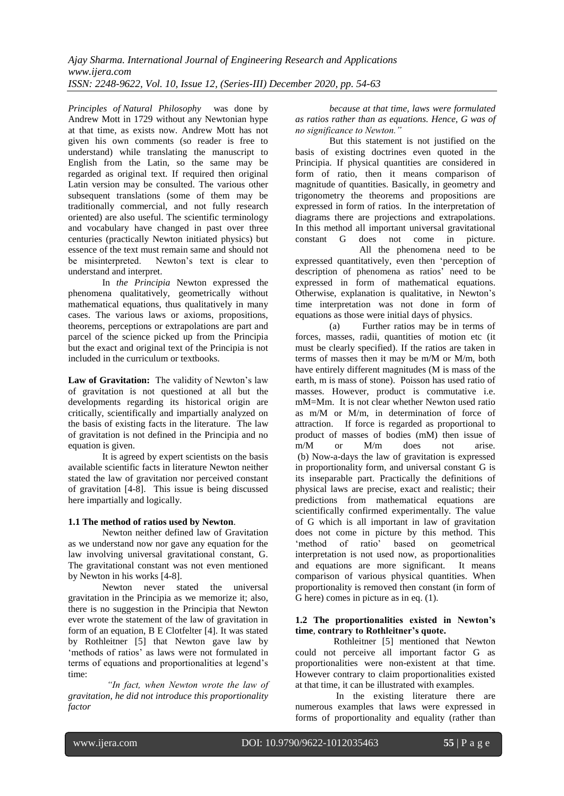*Principles of [Natural Philosophy](https://en.wikipedia.org/wiki/Natural_Philosophy)* was done by Andrew Mott in 1729 without any Newtonian hype at that time, as exists now. Andrew Mott has not given his own comments (so reader is free to understand) while translating the manuscript to English from the Latin, so the same may be regarded as original text. If required then original Latin version may be consulted. The various other subsequent translations (some of them may be traditionally commercial, and not fully research oriented) are also useful. The scientific terminology and vocabulary have changed in past over three centuries (practically Newton initiated physics) but essence of the text must remain same and should not be misinterpreted. Newton's text is clear to understand and interpret.

In *the Principia* Newton expressed the phenomena qualitatively, geometrically without mathematical equations, thus qualitatively in many cases. The various laws or axioms, propositions, theorems, perceptions or extrapolations are part and parcel of the science picked up from the Principia but the exact and original text of the Principia is not included in the curriculum or textbooks.

**Law of Gravitation:** The validity of Newton's law of gravitation is not questioned at all but the developments regarding its historical origin are critically, scientifically and impartially analyzed on the basis of existing facts in the literature. The law of gravitation is not defined in the Principia and no equation is given.

It is agreed by expert scientists on the basis available scientific facts in literature Newton neither stated the law of gravitation nor perceived constant of gravitation [4-8]. This issue is being discussed here impartially and logically.

### **1.1 The method of ratios used by Newton**.

Newton neither defined law of Gravitation as we understand now nor gave any equation for the law involving universal gravitational constant, G. The gravitational constant was not even mentioned by Newton in his works [4-8].

Newton never stated the universal gravitation in the Principia as we memorize it; also, there is no suggestion in the Principia that Newton ever wrote the statement of the law of gravitation in form of an equation, B E Clotfelter [4]. It was stated by Rothleitner [5] that Newton gave law by ‗methods of ratios' as laws were not formulated in terms of equations and proportionalities at legend's time:

 *"In fact, when Newton wrote the law of gravitation, he did not introduce this proportionality factor*

*because at that time, laws were formulated as ratios rather than as equations. Hence, G was of no significance to Newton."*

But this statement is not justified on the basis of existing doctrines even quoted in the Principia. If physical quantities are considered in form of ratio, then it means comparison of magnitude of quantities. Basically, in geometry and trigonometry the theorems and propositions are expressed in form of ratios. In the interpretation of diagrams there are projections and extrapolations. In this method all important universal gravitational constant G does not come in picture. All the phenomena need to be expressed quantitatively, even then 'perception of description of phenomena as ratios' need to be expressed in form of mathematical equations.

Otherwise, explanation is qualitative, in Newton's time interpretation was not done in form of equations as those were initial days of physics. (a) Further ratios may be in terms of

forces, masses, radii, quantities of motion etc (it must be clearly specified). If the ratios are taken in terms of masses then it may be m/M or M/m, both have entirely different magnitudes (M is mass of the earth, m is mass of stone). Poisson has used ratio of masses. However, product is commutative i.e. mM=Mm. It is not clear whether Newton used ratio as m/M or M/m, in determination of force of attraction. If force is regarded as proportional to product of masses of bodies (mM) then issue of m/M or M/m does not arise. (b) Now-a-days the law of gravitation is expressed in proportionality form, and universal constant G is its inseparable part. Practically the definitions of physical laws are precise, exact and realistic; their predictions from mathematical equations are scientifically confirmed experimentally. The value of G which is all important in law of gravitation does not come in picture by this method. This ‗method of ratio' based on geometrical interpretation is not used now, as proportionalities and equations are more significant. It means comparison of various physical quantities. When proportionality is removed then constant (in form of G here) comes in picture as in eq. (1).

### **1.2 The proportionalities existed in Newton's time**, **contrary to Rothleitner's quote.**

Rothleitner [5] mentioned that Newton could not perceive all important factor G as proportionalities were non-existent at that time. However contrary to claim proportionalities existed at that time, it can be illustrated with examples.

In the existing literature there are numerous examples that laws were expressed in forms of proportionality and equality (rather than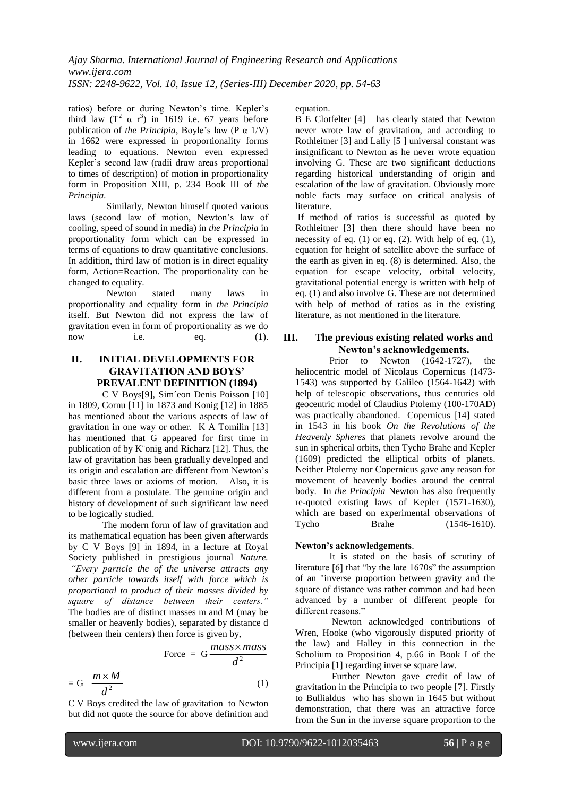ratios) before or during Newton's time. Kepler's third law  $(T^2 \alpha r^3)$  in 1619 i.e. 67 years before publication of *the Principia*, Boyle's law (P α 1/V) in 1662 were expressed in proportionality forms leading to equations. Newton even expressed Kepler's second law (radii draw areas proportional to times of description) of motion in proportionality form in Proposition XIII, p. 234 Book III of *the Principia.*

Similarly, Newton himself quoted various laws (second law of motion, Newton's law of cooling, speed of sound in media) in *the Principia* in proportionality form which can be expressed in terms of equations to draw quantitative conclusions. In addition, third law of motion is in direct equality form, Action=Reaction. The proportionality can be changed to equality.

Newton stated many laws in proportionality and equality form in *the Principia* itself. But Newton did not express the law of gravitation even in form of proportionality as we do now i.e.  $eq.$  (1).

## **II. INITIAL DEVELOPMENTS FOR GRAVITATION AND BOYS' PREVALENT DEFINITION (1894)**

C V Boys[9], Sim´eon Denis Poisson [10] in 1809, Cornu [11] in 1873 and Konig [12] in 1885 has mentioned about the various aspects of law of gravitation in one way or other. K A Tomilin [13] has mentioned that G appeared for first time in publication of by K¨onig and Richarz [12]. Thus, the law of gravitation has been gradually developed and its origin and escalation are different from Newton's basic three laws or axioms of motion. Also, it is different from a postulate. The genuine origin and history of development of such significant law need to be logically studied.

The modern form of law of gravitation and its mathematical equation has been given afterwards by C V Boys [9] in 1894, in a lecture at Royal Society published in prestigious journal *Nature. "Every particle the of the universe attracts any other particle towards itself with force which is proportional to product of their masses divided by square of distance between their centers."* The bodies are of distinct masses m and M (may be smaller or heavenly bodies), separated by distance d (between their centers) then force is given by,

$$
Force = G \frac{mass \times mass}{d^2}
$$

$$
= G \frac{m \times M}{d^2} \tag{1}
$$

C V Boys credited the law of gravitation to Newton but did not quote the source for above definition and equation.

B E Clotfelter [4] has clearly stated that Newton never wrote law of gravitation, and according to Rothleitner [3] and Lally [5 ] universal constant was insignificant to Newton as he never wrote equation involving G. These are two significant deductions regarding historical understanding of origin and escalation of the law of gravitation. Obviously more noble facts may surface on critical analysis of literature.

If method of ratios is successful as quoted by Rothleitner [3] then there should have been no necessity of eq.  $(1)$  or eq.  $(2)$ . With help of eq.  $(1)$ , equation for height of satellite above the surface of the earth as given in eq. (8) is determined. Also, the equation for escape velocity, orbital velocity, gravitational potential energy is written with help of eq. (1) and also involve G. These are not determined with help of method of ratios as in the existing literature, as not mentioned in the literature.

### **III. The previous existing related works and Newton's acknowledgements.**

Prior to Newton (1642-1727), the heliocentric model of Nicolaus Copernicus (1473- 1543) was supported by Galileo (1564-1642) with help of telescopic observations, thus centuries old geocentric model of Claudius Ptolemy (100-170AD) was practically abandoned. Copernicus [14] stated in 1543 in his book *On the Revolutions of the Heavenly Spheres* that planets revolve around the sun in spherical orbits, then Tycho Brahe and Kepler (1609) predicted the elliptical orbits of planets. Neither Ptolemy nor Copernicus gave any reason for movement of heavenly bodies around the central body. In *the Principia* Newton has also frequently re-quoted existing laws of Kepler (1571-1630), which are based on experimental observations of Tycho Brahe (1546-1610).

### **Newton's acknowledgements**.

It is stated on the basis of scrutiny of literature  $[6]$  that "by the late  $1670s$ " the assumption of an "inverse proportion between gravity and the square of distance was rather common and had been advanced by a number of different people for different reasons.'

Newton acknowledged contributions of Wren, Hooke (who vigorously disputed priority of the law) and Halley in this connection in the Scholium to Proposition 4, p.66 in Book I of the Principia [1] regarding inverse square law.

Further Newton gave credit of law of gravitation in the Principia to two people [7]. Firstly to [Bullialdus](https://en.wikipedia.org/wiki/Isma%C3%ABl_Bullialdus) who has shown in 1645 but without demonstration, that there was an attractive force from the Sun in the inverse square proportion to the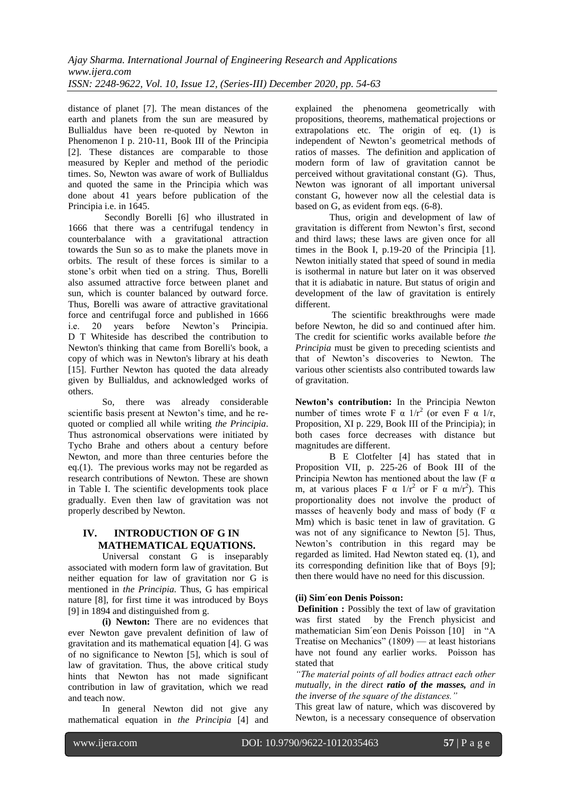distance of planet [7]. The mean distances of the earth and planets from the sun are measured by Bullialdus have been re-quoted by Newton in Phenomenon I p. 210-11, Book III of the Principia [2]. These distances are comparable to those measured by Kepler and method of the periodic times. So, Newton was aware of work of Bullialdus and quoted the same in the Principia which was done about 41 years before publication of the Principia i.e. in 1645.

Secondly Borelli [6] who illustrated in 1666 that there was a centrifugal tendency in counterbalance with a gravitational attraction towards the Sun so as to make the planets move in orbits. The result of these forces is similar to a stone's orbit when tied on a string. Thus, Borelli also assumed attractive force between planet and sun, which is counter balanced by outward force. Thus, Borelli was aware of attractive gravitational force and centrifugal force and published in 1666 i.e. 20 years before Newton's Principia. D T Whiteside has described the contribution to Newton's thinking that came from Borelli's book, a copy of which was in Newton's library at his death [15]. Further Newton has quoted the data already given by Bullialdus, and acknowledged works of others.

So, there was already considerable scientific basis present at Newton's time, and he requoted or complied all while writing *the Principia*. Thus astronomical observations were initiated by Tycho Brahe and others about a century before Newton, and more than three centuries before the eq.(1). The previous works may not be regarded as research contributions of Newton. These are shown in Table I. The scientific developments took place gradually. Even then law of gravitation was not properly described by Newton.

### **IV. INTRODUCTION OF G IN MATHEMATICAL EQUATIONS.**

Universal constant G is inseparably associated with modern form law of gravitation. But neither equation for law of gravitation nor G is mentioned in *the Principia.* Thus, G has empirical nature [8], for first time it was introduced by Boys [9] in 1894 and distinguished from g.

**(i) Newton:** There are no evidences that ever Newton gave prevalent definition of law of gravitation and its mathematical equation [4]. G was of no significance to Newton [5], which is soul of law of gravitation. Thus, the above critical study hints that Newton has not made significant contribution in law of gravitation, which we read and teach now.

In general Newton did not give any mathematical equation in *the Principia* [4] and explained the phenomena geometrically with propositions, theorems, mathematical projections or extrapolations etc. The origin of eq. (1) is independent of Newton's geometrical methods of ratios of masses. The definition and application of modern form of law of gravitation cannot be perceived without gravitational constant (G). Thus, Newton was ignorant of all important universal constant G, however now all the celestial data is based on G, as evident from eqs. (6-8).

Thus, origin and development of law of gravitation is different from Newton's first, second and third laws; these laws are given once for all times in the Book I, p.19-20 of the Principia [1]. Newton initially stated that speed of sound in media is isothermal in nature but later on it was observed that it is adiabatic in nature. But status of origin and development of the law of gravitation is entirely different.

The scientific breakthroughs were made before Newton, he did so and continued after him. The credit for scientific works available before *the Principia* must be given to preceding scientists and that of Newton's discoveries to Newton. The various other scientists also contributed towards law of gravitation.

**Newton's contribution:** In the Principia Newton number of times wrote F  $\alpha$  1/r<sup>2</sup> (or even F  $\alpha$  1/r, Proposition, XI p. 229, Book III of the Principia); in both cases force decreases with distance but magnitudes are different.

B E Clotfelter [4] has stated that in Proposition VII, p. 225-26 of Book III of the Principia Newton has mentioned about the law (F  $\alpha$ ) m, at various places F  $\alpha$  1/r<sup>2</sup> or F  $\alpha$  m/r<sup>2</sup>). This proportionality does not involve the product of masses of heavenly body and mass of body ( $F \alpha$ Mm) which is basic tenet in law of gravitation. G was not of any significance to Newton [5]. Thus, Newton's contribution in this regard may be regarded as limited. Had Newton stated eq. (1), and its corresponding definition like that of Boys [9]; then there would have no need for this discussion.

### **(ii) Sim´eon Denis Poisson:**

**Definition :** Possibly the text of law of gravitation was first stated by the French physicist and mathematician Sim´eon Denis [Poisson](https://en.wikipedia.org/wiki/Sim%C3%A9on_Denis_Poisson) [10] in "A Treatise on Mechanics"  $(1809)$  — at least historians have not found any earlier works. Poisson has stated that

*"The material points of all bodies attract each other mutually, in the direct ratio of the masses, and in the inverse of the square of the distances."* 

This great law of nature, which was discovered by Newton, is a necessary consequence of observation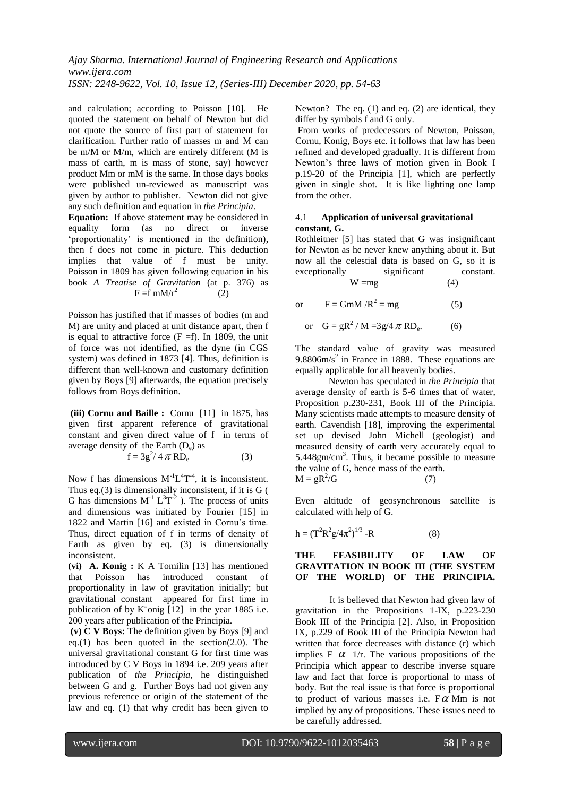and calculation; according to Poisson [10]. He quoted the statement on behalf of Newton but did not quote the source of first part of statement for clarification. Further ratio of masses m and M can be m/M or M/m, which are entirely different (M is mass of earth, m is mass of stone, say) however product Mm or mM is the same. In those days books were published un-reviewed as manuscript was given by author to publisher. Newton did not give any such definition and equation in *the Principia*.

**Equation:** If above statement may be considered in equality form (as no direct or inverse 'proportionality' is mentioned in the definition), then f does not come in picture. This deduction implies that value of f must be unity. Poisson in 1809 has given following equation in his book *A Treatise of Gravitation* (at p. 376) as  $F = f$  mM/ $r^2$ (2)

Poisson has justified that if masses of bodies (m and M) are unity and placed at unit distance apart, then f is equal to attractive force  $(F = f)$ . In 1809, the unit of force was not identified, as the dyne (in CGS system) was defined in 1873 [4]. Thus, definition is different than well-known and customary definition given by Boys [9] afterwards, the equation precisely follows from Boys definition.

**(iii) Cornu and Baille :** Cornu [11] in 1875, has given first apparent reference of gravitational constant and given direct value of f in terms of average density of the Earth  $(D_e)$  as

 $f = 3g^2/4 \pi R D_e$ (3)

Now f has dimensions  $M^{-1}L^{4}T^{-4}$ , it is inconsistent. Thus eq.(3) is dimensionally inconsistent, if it is G ( G has dimensions  $M^{-1} L^3 T^{-2}$  ). The process of units and dimensions was initiated by Fourier [15] in 1822 and Martin [16] and existed in Cornu's time. Thus, direct equation of f in terms of density of Earth as given by eq. (3) is dimensionally inconsistent.

**(vi) A. Konig :** K A Tomilin [13] has mentioned that Poisson has introduced constant of proportionality in law of gravitation initially; but gravitational constant appeared for first time in publication of by K¨onig [12] in the year 1885 i.e. 200 years after publication of the Principia.

**(v) C V Boys:** The definition given by Boys [9] and eq.(1) has been quoted in the section(2.0). The universal gravitational constant G for first time was introduced by C V Boys in 1894 i.e. 209 years after publication of *the Principia,* he distinguished between G and g. Further Boys had not given any previous reference or origin of the statement of the law and eq. (1) that why credit has been given to Newton? The eq. (1) and eq. (2) are identical, they differ by symbols f and G only.

From works of predecessors of Newton, Poisson, Cornu, Konig, Boys etc. it follows that law has been refined and developed gradually. It is different from Newton's three laws of motion given in Book I p.19-20 of the Principia [1], which are perfectly given in single shot. It is like lighting one lamp from the other.

### 4.1 **Application of universal gravitational constant, G.**

Rothleitner [5] has stated that G was insignificant for Newton as he never knew anything about it. But now all the celestial data is based on G, so it is exceptionally significant constant.  $W = mg$  (4)

or  $F = GmM/R^2 = mg$  (5)

or 
$$
G = gR^2 / M = 3g/4 \pi R D_e.
$$
 (6)

The standard value of gravity was measured  $9.8806m/s<sup>2</sup>$  in France in 1888. These equations are equally applicable for all heavenly bodies.

 Newton has speculated in *the Principia* that average density of earth is 5-6 times that of water, Proposition p.230-231, Book III of the Principia. Many scientists made attempts to measure density of earth. Cavendish [18], improving the experimental set up devised John Michell (geologist) and measured density of earth very accurately equal to  $5.448$ gm/cm<sup>3</sup>. Thus, it became possible to measure the value of G, hence mass of the earth.  $M = gR^2/G$  (7)

Even altitude of geosynchronous satellite is calculated with help of G.

$$
h = (T^2 R^2 g / 4\pi^2)^{1/3} - R
$$
 (8)

### **THE FEASIBILITY OF LAW OF GRAVITATION IN BOOK III (THE SYSTEM OF THE WORLD) OF THE PRINCIPIA.**

It is believed that Newton had given law of gravitation in the Propositions 1-IX, p.223-230 Book III of the Principia [2]. Also, in Proposition IX, p.229 of Book III of the Principia Newton had written that force decreases with distance (r) which implies  $F \alpha$  1/r. The various propositions of the Principia which appear to describe inverse square law and fact that force is proportional to mass of body. But the real issue is that force is proportional to product of various masses i.e.  $F\alpha$  Mm is not implied by any of propositions. These issues need to be carefully addressed.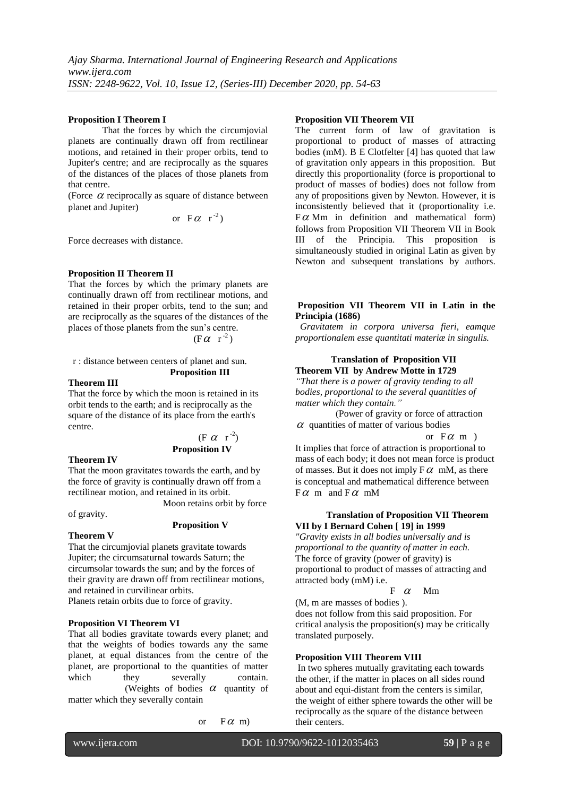#### **Proposition I Theorem I**

That the forces by which the circumjovial planets are continually drawn off from rectilinear motions, and retained in their proper orbits, tend to Jupiter's centre; and are reciprocally as the squares of the distances of the places of those planets from that centre.

(Force  $\alpha$  reciprocally as square of distance between planet and Jupiter)

or 
$$
F\alpha
$$
 r<sup>-2</sup>)

Force decreases with distance.

#### **Proposition II Theorem II**

That the forces by which the primary planets are continually drawn off from rectilinear motions, and retained in their proper orbits, tend to the sun; and are reciprocally as the squares of the distances of the places of those planets from the sun's centre.

$$
(F \alpha r^2)
$$

 r : distance between centers of planet and sun. **Proposition III** 

#### **Theorem III**

That the force by which the moon is retained in its orbit tends to the earth; and is reciprocally as the square of the distance of its place from the earth's centre.

 (F  $\alpha$  r<sup>-2</sup>) **Proposition IV** 

**Theorem IV**

That the moon gravitates towards the earth, and by the force of gravity is continually drawn off from a rectilinear motion, and retained in its orbit. Moon retains orbit by force

of gravity.

#### **Proposition V**

#### **Theorem V**

That the circumjovial planets gravitate towards Jupiter; the circumsaturnal towards Saturn; the circumsolar towards the sun; and by the forces of their gravity are drawn off from rectilinear motions, and retained in curvilinear orbits.

Planets retain orbits due to force of gravity.

#### **Proposition VI Theorem VI**

That all bodies gravitate towards every planet; and that the weights of bodies towards any the same planet, at equal distances from the centre of the planet, are proportional to the quantities of matter which they severally contain. (Weights of bodies  $\alpha$  quantity of matter which they severally contain

 or F  $\alpha$  m)

### **Proposition VII Theorem VII**

The current form of law of gravitation is proportional to product of masses of attracting bodies (mM). B E Clotfelter [4] has quoted that law of gravitation only appears in this proposition. But directly this proportionality (force is proportional to product of masses of bodies) does not follow from any of propositions given by Newton. However, it is inconsistently believed that it (proportionality i.e.  $F\alpha$  Mm in definition and mathematical form) follows from Proposition VII Theorem VII in Book III of the Principia. This proposition is simultaneously studied in original Latin as given by Newton and subsequent translations by authors.

### **Proposition VII Theorem VII in Latin in the Principia (1686)**

 *Gravitatem in corpora universa fieri, eamque proportionalem esse quantitati materiæ in singulis.*

#### **Translation of Proposition VII Theorem VII by Andrew Motte in 1729**

*"That there is a power of gravity tending to all bodies, proportional to the several quantities of matter which they contain."*

 (Power of gravity or force of attraction  $\alpha$  quantities of matter of various bodies

#### or  $F\alpha$  m )

It implies that force of attraction is proportional to mass of each body; it does not mean force is product of masses. But it does not imply  $F \alpha$  mM, as there is conceptual and mathematical difference between  $F\alpha$  m and  $F\alpha$  mM

### **Translation of Proposition VII Theorem VII by I Bernard Cohen [ 19] in 1999**

*"Gravity exists in all bodies universally and is proportional to the quantity of matter in each.* The force of gravity (power of gravity) is proportional to product of masses of attracting and attracted body (mM) i.e.

#### F  $F \alpha$  Mm

(M, m are masses of bodies ). does not follow from this said proposition. For critical analysis the proposition(s) may be critically translated purposely.

#### **Proposition VIII Theorem VIII**

In two spheres mutually gravitating each towards the other, if the matter in places on all sides round about and equi-distant from the centers is similar, the weight of either sphere towards the other will be reciprocally as the square of the distance between their centers.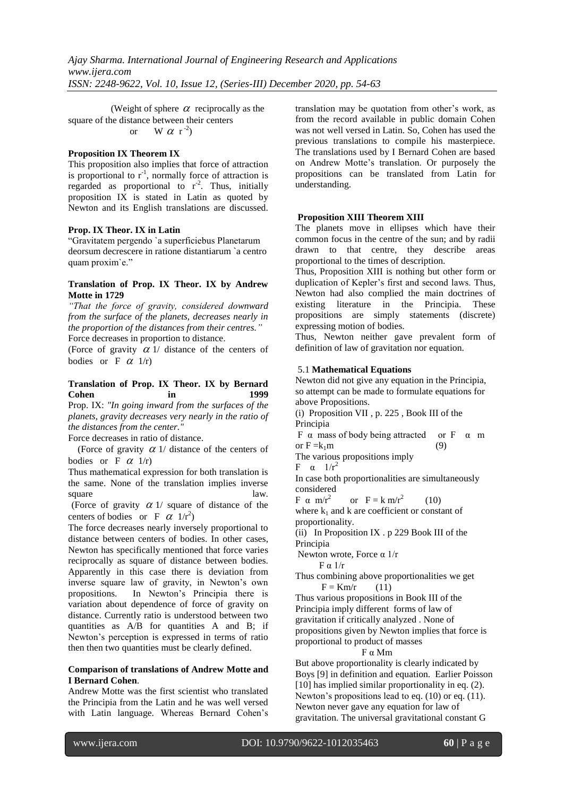(Weight of sphere  $\alpha$  reciprocally as the square of the distance between their centers or W  $\alpha$  r<sup>-2</sup>)

#### **Proposition IX Theorem IX**

This proposition also implies that force of attraction is proportional to  $r^{-1}$ , normally force of attraction is regarded as proportional to  $r^2$ . Thus, initially proposition IX is stated in Latin as quoted by Newton and its English translations are discussed.

#### **Prop. IX Theor. IX in Latin**

―Gravitatem pergendo `a superficiebus Planetarum deorsum decrescere in ratione distantiarum `a centro quam proxim`e."

#### **Translation of Prop. IX Theor. IX by Andrew Motte in 1729**

*"That the force of gravity, considered downward from the surface of the planets, decreases nearly in the proportion of the distances from their centres."* Force decreases in proportion to distance.

(Force of gravity  $\alpha$  1/ distance of the centers of

bodies or  $F \alpha$  1/r)

### **Translation of Prop. IX Theor. IX by Bernard Cohen in 1999**

Prop. IX: *"In going inward from the surfaces of the planets, gravity decreases very nearly in the ratio of the distances from the center."*

Force decreases in ratio of distance.

(Force of gravity  $\alpha$  1/ distance of the centers of bodies or  $F \alpha$  1/r)

Thus mathematical expression for both translation is the same. None of the translation implies inverse square law.

(Force of gravity  $\alpha$  1/ square of distance of the centers of bodies or F  $\alpha$  1/r<sup>2</sup>)

The force decreases nearly inversely proportional to distance between centers of bodies. In other cases, Newton has specifically mentioned that force varies reciprocally as square of distance between bodies. Apparently in this case there is deviation from inverse square law of gravity, in Newton's own propositions. In Newton's Principia there is variation about dependence of force of gravity on distance. Currently ratio is understood between two quantities as A/B for quantities A and B; if Newton's perception is expressed in terms of ratio then then two quantities must be clearly defined.

#### **Comparison of translations of Andrew Motte and I Bernard Cohen**.

Andrew Motte was the first scientist who translated the Principia from the Latin and he was well versed with Latin language. Whereas Bernard Cohen's translation may be quotation from other's work, as from the record available in public domain Cohen was not well versed in Latin. So, Cohen has used the previous translations to compile his masterpiece. The translations used by I Bernard Cohen are based on Andrew Motte's translation. Or purposely the propositions can be translated from Latin for understanding.

#### **Proposition XIII Theorem XIII**

The planets move in ellipses which have their common focus in the centre of the sun; and by radii drawn to that centre, they describe areas proportional to the times of description.

Thus, Proposition XIII is nothing but other form or duplication of Kepler's first and second laws. Thus, Newton had also complied the main doctrines of existing literature in the Principia. These propositions are simply statements (discrete) expressing motion of bodies.

Thus, Newton neither gave prevalent form of definition of law of gravitation nor equation.

### 5.1 **Mathematical Equations**

Newton did not give any equation in the Principia, so attempt can be made to formulate equations for above Propositions.

(i) Proposition VII , p. 225 , Book III of the Principia

F  $\alpha$  mass of body being attracted or F  $\alpha$  m or  $F = k_1m$  (9)

The various propositions imply

 $F \alpha$  1/ $r^2$ 

In case both proportionalities are simultaneously considered

F α m/r<sup>2</sup> or  $F = k m/r^2$  (10) where  $k_1$  and k are coefficient or constant of proportionality.

(ii) In Proposition IX . p 229 Book III of the Principia

Newton wrote, Force α 1/r

 $F \alpha$  1/r

Thus combining above proportionalities we get  $F = Km/r$  (11)

Thus various propositions in Book III of the Principia imply different forms of law of gravitation if critically analyzed . None of propositions given by Newton implies that force is proportional to product of masses

#### F α Mm

But above proportionality is clearly indicated by Boys [9] in definition and equation. Earlier Poisson [10] has implied similar proportionality in eq. (2). Newton's propositions lead to eq. (10) or eq. (11). Newton never gave any equation for law of gravitation. The universal gravitational constant G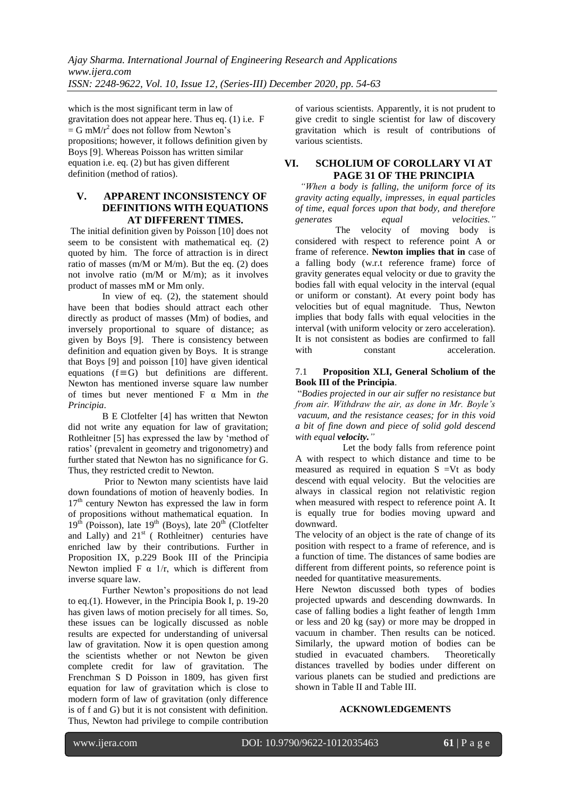which is the most significant term in law of gravitation does not appear here. Thus eq. (1) i.e. F  $=$  G mM/ $r^2$  does not follow from Newton's propositions; however, it follows definition given by Boys [9]. Whereas Poisson has written similar equation i.e. eq. (2) but has given different definition (method of ratios).

### **V. APPARENT INCONSISTENCY OF DEFINITIONS WITH EQUATIONS AT DIFFERENT TIMES.**

The initial definition given by Poisson [10] does not seem to be consistent with mathematical eq. (2) quoted by him. The force of attraction is in direct ratio of masses (m/M or M/m). But the eq. (2) does not involve ratio (m/M or M/m); as it involves product of masses mM or Mm only.

In view of eq. (2), the statement should have been that bodies should attract each other directly as product of masses (Mm) of bodies, and inversely proportional to square of distance; as given by Boys [9]. There is consistency between definition and equation given by Boys. It is strange that Boys [9] and poisson [10] have given identical equations  $(f \equiv G)$  but definitions are different. Newton has mentioned inverse square law number of times but never mentioned F α Mm in *the Principia*.

B E Clotfelter [4] has written that Newton did not write any equation for law of gravitation; Rothleitner [5] has expressed the law by 'method of ratios' (prevalent in geometry and trigonometry) and further stated that Newton has no significance for G. Thus, they restricted credit to Newton.

Prior to Newton many scientists have laid down foundations of motion of heavenly bodies. In 17<sup>th</sup> century Newton has expressed the law in form of propositions without mathematical equation. In  $19<sup>th</sup>$  (Poisson), late  $19<sup>th</sup>$  (Boys), late  $20<sup>th</sup>$  (Clotfelter and Lally) and  $21<sup>st</sup>$  (Rothleitner) centuries have enriched law by their contributions. Further in Proposition IX, p.229 Book III of the Principia Newton implied F  $\alpha$  1/r, which is different from inverse square law.

Further Newton's propositions do not lead to eq.(1). However, in the Principia Book I, p. 19-20 has given laws of motion precisely for all times. So, these issues can be logically discussed as noble results are expected for understanding of universal law of gravitation. Now it is open question among the scientists whether or not Newton be given complete credit for law of gravitation. The Frenchman S D Poisson in 1809, has given first equation for law of gravitation which is close to modern form of law of gravitation (only difference is of f and G) but it is not consistent with definition. Thus, Newton had privilege to compile contribution of various scientists. Apparently, it is not prudent to give credit to single scientist for law of discovery gravitation which is result of contributions of various scientists.

### **VI. SCHOLIUM OF COROLLARY VI AT PAGE 31 OF THE PRINCIPIA**

 *"When a body is falling, the uniform force of its gravity acting equally, impresses, in equal particles of time, equal forces upon that body, and therefore generates equal velocities."* The velocity of moving body is considered with respect to reference point A or frame of reference. **Newton implies that in** case of a falling body (w.r.t reference frame) force of gravity generates equal velocity or due to gravity the bodies fall with equal velocity in the interval (equal or uniform or constant). At every point body has velocities but of equal magnitude. Thus, Newton implies that body falls with equal velocities in the interval (with uniform velocity or zero acceleration). It is not consistent as bodies are confirmed to fall with constant acceleration

#### 7.1 **Proposition XLI, General Scholium of the Book III of the Principia**.

―*Bodies projected in our air suffer no resistance but from air. Withdraw the air, as done in Mr. Boyle's vacuum, and the resistance ceases; for in this void a bit of fine down and piece of solid gold descend with equal velocity."*

 Let the body falls from reference point A with respect to which distance and time to be measured as required in equation  $S = Vt$  as body descend with equal velocity. But the velocities are always in classical region not relativistic region when measured with respect to reference point A. It is equally true for bodies moving upward and downward.

The velocity of an object is the rate of change of its position with respect to a frame of reference, and is a function of time. The distances of same bodies are different from different points, so reference point is needed for quantitative measurements.

Here Newton discussed both types of bodies projected upwards and descending downwards. In case of falling bodies a light feather of length 1mm or less and 20 kg (say) or more may be dropped in vacuum in chamber. Then results can be noticed. Similarly, the upward motion of bodies can be studied in evacuated chambers. Theoretically distances travelled by bodies under different on various planets can be studied and predictions are shown in Table II and Table III.

### **ACKNOWLEDGEMENTS**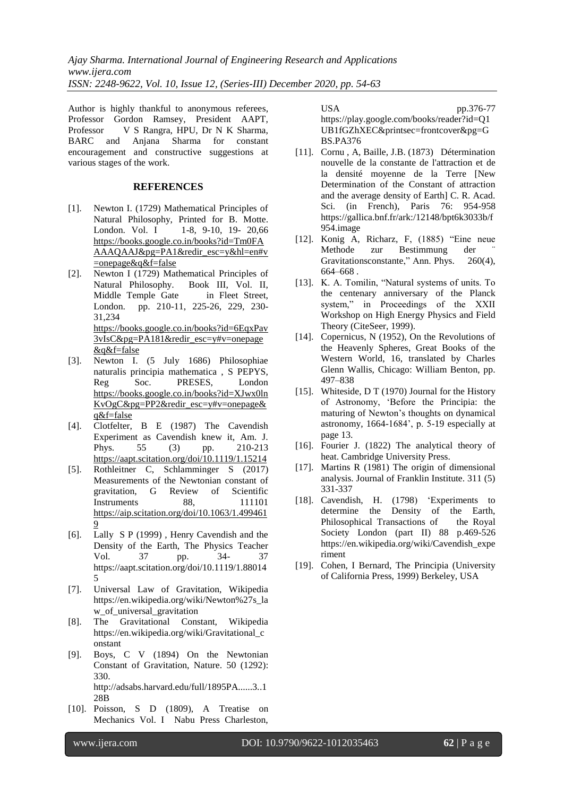Author is highly thankful to anonymous referees, Professor Gordon Ramsey, President AAPT, Professor V S Rangra, HPU, Dr N K Sharma, BARC and Anjana Sharma for constant encouragement and constructive suggestions at various stages of the work.

#### **REFERENCES**

- [1]. Newton I. (1729) Mathematical Principles of Natural Philosophy, Printed for B. Motte. London. Vol. I 1-8, 9-10, 19- 20,66 [https://books.google.co.in/books?id=Tm0FA](https://books.google.co.in/books?id=Tm0FAAAAQAAJ&pg=PA1&redir_esc=y&hl=en#v=onepage&q&f=false) [AAAQAAJ&pg=PA1&redir\\_esc=y&hl=en#v](https://books.google.co.in/books?id=Tm0FAAAAQAAJ&pg=PA1&redir_esc=y&hl=en#v=onepage&q&f=false) [=onepage&q&f=false](https://books.google.co.in/books?id=Tm0FAAAAQAAJ&pg=PA1&redir_esc=y&hl=en#v=onepage&q&f=false)
- [2]. Newton I (1729) Mathematical Principles of Natural Philosophy. Book III, Vol. II, Middle Temple Gate in Fleet Street, London. pp. 210-11, 225-26, 229, 230- 31,234 [https://books.google.co.in/books?id=6EqxPav](https://books.google.co.in/books?id=6EqxPav3vIsC&pg=PA181&redir_esc=y#v=onepage&q&f=false) [3vIsC&pg=PA181&redir\\_esc=y#v=onepage](https://books.google.co.in/books?id=6EqxPav3vIsC&pg=PA181&redir_esc=y#v=onepage&q&f=false) [&q&f=false](https://books.google.co.in/books?id=6EqxPav3vIsC&pg=PA181&redir_esc=y#v=onepage&q&f=false)
- [3]. Newton I. (5 July 1686) Philosophiae naturalis principia mathematica , S PEPYS, Reg Soc. PRESES, London [https://books.google.co.in/books?id=XJwx0ln](https://books.google.co.in/books?id=XJwx0lnKvOgC&pg=PP2&redir_esc=y#v=onepage&q&f=false) [KvOgC&pg=PP2&redir\\_esc=y#v=onepage&](https://books.google.co.in/books?id=XJwx0lnKvOgC&pg=PP2&redir_esc=y#v=onepage&q&f=false) [q&f=false](https://books.google.co.in/books?id=XJwx0lnKvOgC&pg=PP2&redir_esc=y#v=onepage&q&f=false)
- [4]. Clotfelter, B E (1987) The Cavendish Experiment as Cavendish knew it, Am. J. Phys. 55 (3) pp. 210-213 <https://aapt.scitation.org/doi/10.1119/1.15214>
- [5]. Rothleitner C, Schlamminger S (2017) Measurements of the Newtonian constant of gravitation, G Review of Scientific Instruments 88, 111101 [https://aip.scitation.org/doi/10.1063/1.499461](https://aip.scitation.org/doi/10.1063/1.4994619) [9](https://aip.scitation.org/doi/10.1063/1.4994619)
- [6]. Lally S P (1999) , Henry Cavendish and the Density of the Earth, The Physics Teacher Vol. 37 pp. 34- 37 https://aapt.scitation.org/doi/10.1119/1.88014 5
- [7]. Universal Law of Gravitation, Wikipedia https://en.wikipedia.org/wiki/Newton%27s\_la w\_of\_universal\_gravitation
- [8]. The Gravitational Constant, Wikipedia https://en.wikipedia.org/wiki/Gravitational\_c onstant
- [9]. Boys, C V (1894) On the Newtonian Constant of Gravitation, Nature. 50 (1292): 330. http://adsabs.harvard.edu/full/1895PA......3..1 28B
- [10]. Poisson, S D (1809), A Treatise on Mechanics Vol. I Nabu Press Charleston,

USA pp.376-77 https://play.google.com/books/reader?id=Q1 UB1fGZhXEC&printsec=frontcover&pg=G BS.PA376

- [11]. Cornu , A, Baille, J.B. (1873) Détermination nouvelle de la constante de l'attraction et de la densité moyenne de la Terre [New Determination of the Constant of attraction and the average density of Earth] C. R. Acad. Sci. (in French), Paris 76: 954-958 https://gallica.bnf.fr/ark:/12148/bpt6k3033b/f 954.image
- [12]. Konig A, Richarz, F, (1885) "Eine neue Methode zur Bestimmung der Gravitationsconstante," Ann. Phys. 260(4), 664–668 .
- [13]. K. A. Tomilin, "Natural systems of units. To the centenary anniversary of the Planck system," in Proceedings of the XXII Workshop on High Energy Physics and Field Theory (CiteSeer, 1999).
- [14]. Copernicus, N (1952), On the Revolutions of the Heavenly Spheres, Great Books of the Western World, 16, translated by Charles Glenn Wallis, Chicago: William Benton, pp. 497–838
- [15]. Whiteside, D T (1970) Journal for the History of Astronomy, 'Before the Principia: the maturing of Newton's thoughts on dynamical astronomy, 1664-1684', p. 5-19 especially at page 13.
- [16]. Fourier J. (1822) The analytical theory of heat. Cambridge University Press.
- [17]. Martins R (1981) The origin of dimensional analysis. Journal of Franklin Institute. 311 (5) 331-337
- [18]. Cavendish, H. (1798) 'Experiments to determine the Density of the Earth, Philosophical Transactions of the Royal Society London (part II) 88 p.469-526 https://en.wikipedia.org/wiki/Cavendish\_expe riment
- [19]. Cohen, I Bernard, The Principia (University of California Press, 1999) Berkeley, USA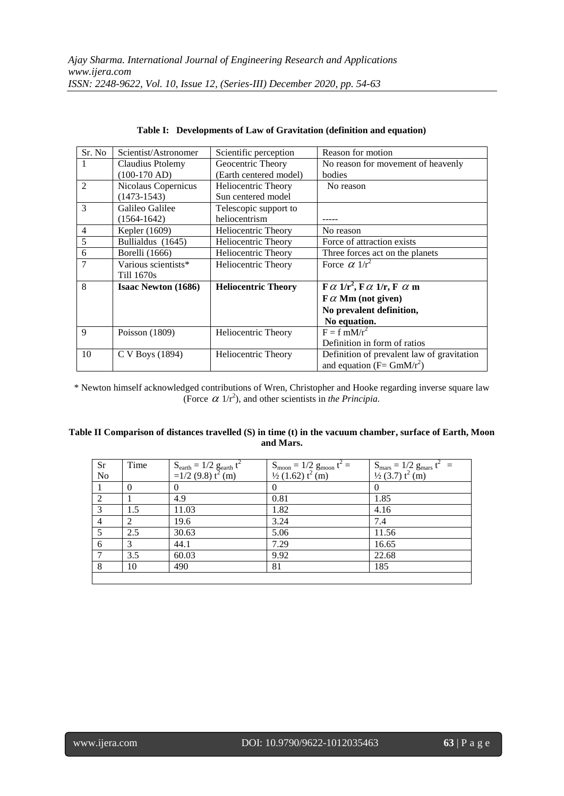| Sr. No         | Scientist/Astronomer       | Scientific perception      | Reason for motion                                                                     |
|----------------|----------------------------|----------------------------|---------------------------------------------------------------------------------------|
| 1              | Claudius Ptolemy           | Geocentric Theory          | No reason for movement of heavenly                                                    |
|                | $(100-170$ AD)             | (Earth centered model)     | bodies                                                                                |
| $\overline{2}$ | Nicolaus Copernicus        | Heliocentric Theory        | No reason                                                                             |
|                | $(1473-1543)$              | Sun centered model         |                                                                                       |
| 3              | Galileo Galilee            | Telescopic support to      |                                                                                       |
|                | $(1564 - 1642)$            | heliocentrism              |                                                                                       |
| $\overline{4}$ | Kepler (1609)              | Heliocentric Theory        | No reason                                                                             |
| 5              | Bullialdus (1645)          | <b>Heliocentric Theory</b> | Force of attraction exists                                                            |
| 6              | Borelli (1666)             | Heliocentric Theory        | Three forces act on the planets                                                       |
| 7              | Various scientists*        | Heliocentric Theory        | Force $\alpha$ 1/ $r^2$                                                               |
|                | Till 1670s                 |                            |                                                                                       |
| 8              | <b>Isaac Newton (1686)</b> | <b>Heliocentric Theory</b> | $\mathbf{F} \alpha$ 1/r <sup>2</sup> , $\mathbf{F} \alpha$ 1/r, $\mathbf{F} \alpha$ m |
|                |                            |                            | $\mathbf{F} \alpha$ Mm (not given)                                                    |
|                |                            |                            | No prevalent definition,                                                              |
|                |                            |                            | No equation.                                                                          |
| 9              | Poisson (1809)             | Heliocentric Theory        | $F = f mM/r^2$                                                                        |
|                |                            |                            | Definition in form of ratios                                                          |
| 10             | C V Boys (1894)            | Heliocentric Theory        | Definition of prevalent law of gravitation                                            |
|                |                            |                            | and equation ( $F = GmM/r^2$ )                                                        |

| Table I: Developments of Law of Gravitation (definition and equation) |  |  |
|-----------------------------------------------------------------------|--|--|
|                                                                       |  |  |

\* Newton himself acknowledged contributions of Wren, Christopher and Hooke regarding inverse square law (Force  $\alpha$  1/r<sup>2</sup>), and other scientists in *the Principia*.

### **Table II Comparison of distances travelled (S) in time (t) in the vacuum chamber, surface of Earth, Moon and Mars.**

| Sr                          | Time          |                                                                       |                                                                                                      |                                                                              |
|-----------------------------|---------------|-----------------------------------------------------------------------|------------------------------------------------------------------------------------------------------|------------------------------------------------------------------------------|
| No                          |               | $S_{\text{earth}} = 1/2 g_{\text{earth}} t^2$<br>=1/2 (9.8) $t^2$ (m) | S <sub>moon</sub> = $1/2$ g <sub>moon</sub> t <sup>2</sup> = $\frac{1}{2}$ (1.62) t <sup>2</sup> (m) | $S_{\text{mars}} = 1/2 g_{\text{mars}} t^2 =$<br>$\frac{1}{2} (3.7) t^2 (m)$ |
|                             | $\Omega$      | $\Omega$                                                              |                                                                                                      |                                                                              |
| $\mathcal{D}_{\mathcal{L}}$ |               | 4.9                                                                   | 0.81                                                                                                 | 1.85                                                                         |
| 3                           | 1.5           | 11.03                                                                 | 1.82                                                                                                 | 4.16                                                                         |
| $\overline{4}$              | $\mathcal{D}$ | 19.6                                                                  | 3.24                                                                                                 | 7.4                                                                          |
| 5                           | 2.5           | 30.63                                                                 | 5.06                                                                                                 | 11.56                                                                        |
| 6                           | 3             | 44.1                                                                  | 7.29                                                                                                 | 16.65                                                                        |
|                             | 3.5           | 60.03                                                                 | 9.92                                                                                                 | 22.68                                                                        |
| 8                           | 10            | 490                                                                   | 81                                                                                                   | 185                                                                          |
|                             |               |                                                                       |                                                                                                      |                                                                              |